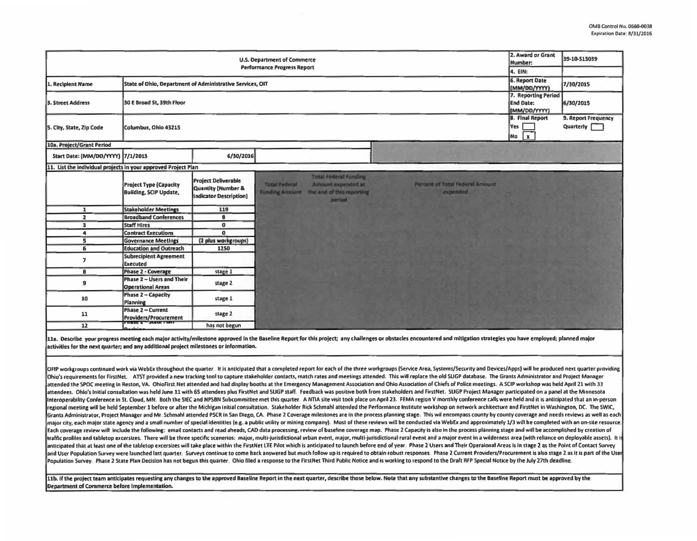| <b>U.S. Department of Commerce</b><br><b>Performance Progress Report</b>       |                                                                |                                                                                              |                                               |                                                                                            |                                             | 2. Award or Grant<br>Number:<br>4. EIN:                 | 39-10-513039                     |
|--------------------------------------------------------------------------------|----------------------------------------------------------------|----------------------------------------------------------------------------------------------|-----------------------------------------------|--------------------------------------------------------------------------------------------|---------------------------------------------|---------------------------------------------------------|----------------------------------|
| State of Ohio, Department of Administrative Services, OIT<br>1. Recipient Name |                                                                |                                                                                              |                                               |                                                                                            |                                             | 6. Report Date<br>(MM/DD/YYYY)                          | 7/30/2015                        |
| 3. Street Address                                                              | 30 E Broad St, 39th Floor                                      |                                                                                              |                                               |                                                                                            |                                             | 7. Reporting Period<br><b>End Date:</b><br>(MM/DD/YYYY) | 6/30/2015                        |
| 5. City, State, Zip Code                                                       | Columbus, Ohio 43215                                           |                                                                                              |                                               |                                                                                            |                                             | <b>8. Final Report</b><br>Yes<br>$\mathbf{x}$<br> Na    | 9. Report Frequency<br>Quarterly |
| 10a. Project/Grant Period                                                      |                                                                |                                                                                              |                                               |                                                                                            |                                             |                                                         |                                  |
| Start Date: (MM/DD/YYYY) 7/1/2013                                              |                                                                | 6/30/2016                                                                                    |                                               |                                                                                            |                                             |                                                         |                                  |
| 11. List the individual projects in your approved Project Plan                 |                                                                |                                                                                              |                                               |                                                                                            |                                             |                                                         |                                  |
|                                                                                | <b>Project Type (Capacity</b><br><b>Building, SCIP Update,</b> | <b>Project Deliverable</b><br><b>Quantity (Number &amp;</b><br><b>Indicator Description)</b> | <b>Total Federal</b><br><b>Funding Amount</b> | <b>Total Federal Funding</b><br>Amount expended at<br>the end of this reporting<br>periodi | Percent of Total Federal Amount<br>expended |                                                         |                                  |
| 1                                                                              | <b>Stakeholder Meetings</b>                                    | 119                                                                                          |                                               |                                                                                            |                                             |                                                         |                                  |
| $\overline{\mathbf{z}}$                                                        | <b>Broadband Conferences</b>                                   | $\mathbf{B}$                                                                                 |                                               |                                                                                            |                                             |                                                         |                                  |
| $\overline{\mathbf{3}}$                                                        | <b>Staff Hires</b>                                             | $\bf{0}$                                                                                     |                                               |                                                                                            |                                             |                                                         |                                  |
| 4                                                                              | <b>Contract Executions</b>                                     | $\mathbf{0}$                                                                                 |                                               |                                                                                            |                                             |                                                         |                                  |
| 5                                                                              | <b>Governance Meetings</b>                                     | (2 plus workgroups)                                                                          |                                               |                                                                                            |                                             |                                                         |                                  |
| $\overline{6}$                                                                 | <b>Education and Outreach</b>                                  | 1250                                                                                         |                                               |                                                                                            |                                             |                                                         |                                  |
| $\overline{\phantom{a}}$                                                       | <b>Subrecipient Agreement</b><br><b>Executed</b>               |                                                                                              |                                               |                                                                                            |                                             |                                                         |                                  |
| B                                                                              | <b>Phase 2 - Coverage</b>                                      | stage 1                                                                                      |                                               |                                                                                            |                                             |                                                         |                                  |
| $\mathbf{g}$                                                                   | Phase 2 - Users and Their<br><b>Operational Areas</b>          | stage 2                                                                                      |                                               |                                                                                            |                                             |                                                         |                                  |
| 10                                                                             | Phase 2 - Capacity<br>Planning                                 | stage 1                                                                                      |                                               |                                                                                            |                                             |                                                         |                                  |
| 11                                                                             | Phase 2 - Current<br>Providers/Procurement                     | stage 2                                                                                      |                                               |                                                                                            |                                             |                                                         |                                  |
| 12                                                                             | x, y                                                           | has not begun                                                                                |                                               |                                                                                            |                                             |                                                         |                                  |

11a. Describe your progress meeting each major activity/milestone approved in the Baseline Report for this project; any challenges or obstacles encountered and mitigation strategies you have employed; planned major activities for the next quarter; and any additional project milestones or information.

OFIP workgroups continued work via WebEx throughout the quarter. It is anticipated that a completed report for each of the three workgroups (Service Area, Systems/Security and Devices/Apps) will be produced next quarter pr Ohio's requirements for FirstNet. ATST provided a new tracking tool to capture stakeholder contacts, match rates and meetings attended. This will replace the old SLIGP database. The Grants Administrator and Project Manager attended the SPOC meeting in Reston, VA. OhioFirst Net attended and had display booths at the Emergency Management Association and Ohio Association of Chiefs of Police meetings. A SCIP workshop was held April 21 with 33 attendees. Ohio's initial consultation was held June 11 with 65 attendees plus FirstNet and SUGP staff. Feedback was positive both from stakeholders and FirstNet. SUGP Project Manager participated on a panel at the Minneso regional meeting will be held September 1 before or after the Michigan initial consultation. Stakeholder Rick Schmahl attended the Performance Institute workshop on network architecture and FirstNet in Washington, DC. The Grants Administrator, Project Manager and Mr. Schmahl attended PSCR in San Diego, CA. Phase 2 Coverage milestones are in the process planning stage. This wil encompass county by county coverage and needs reviews as well as major city, each major state agency and a small number of special identities (e.g. a public utility or mining company). Most of these reviews will be conducted via WebEx and approximately 1/3 will be completed with an on-s Each coverage review will include the following: email contacts and read aheads, CAD data processing, review of baseline coverage map. Phase 2 Capacity is also in the process planning stage and will be accomplished by crea an<br>an<br>Po traffic profiles and tabletop excersizes. There will be three specific scenerios: major, multi-jurisdictional urban event, major, multi-jurisdictional rural event and a major event in a wilderness area (with reliance on de anticipated that at least one of the tabletop excersizes will take place within the FirstNet LTE Pilot which is anticipated to launch before end of year. Phase 2 Users and Their Operaional Areas is in stage 2 as the Point and User Population Survey were launched last quarter. Surveys continue to come back answered but much follow up is required to obtain robust responses. Phase 2 Current Providers/Procurement is also stage 2 as it is part o Population Survey. Phase 2 State Plan Decision has not begun this quarter. Ohio filed a response to the FirstNet Third Public Notice and is working to respond to the Draft RFP Special Notice by the July 27th deadline.

11b. If the project team anticipates requesting any changes to the approved Baseline Report in the next quarter, describe those below. Note that any substantive changes to the Baseline Report must be approved by the Department of Commerce before implementation.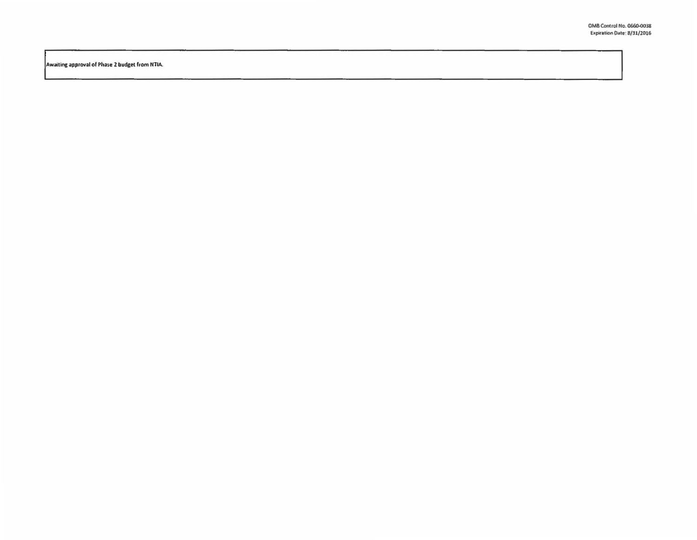Awaiting approval of Phase 2 budget from NTIA.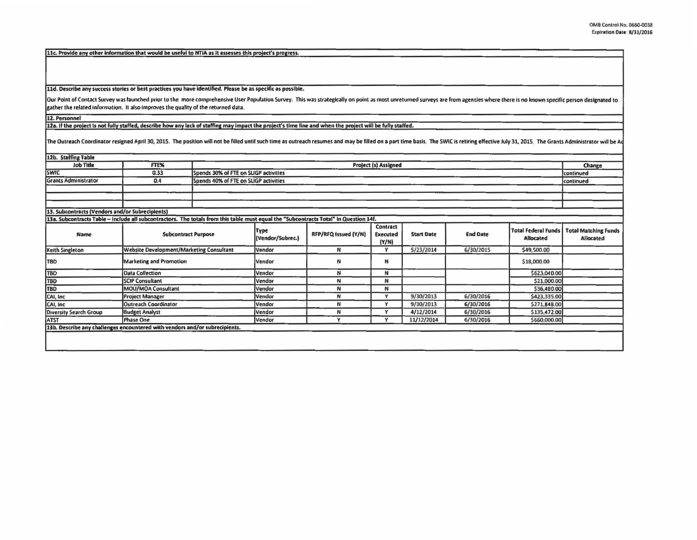[11c. Provide any other information that would be useful to NTIA as it assesses this project's progress.

11d. Describe any success stories or best practices you have identified. Please be as specific as possible.

Our Point of Contact Survey was launched prior to the more comprehensive User Population Survey. This was strategically on point as most unreturned surveys are from agencies where there is no known specific person designat gather the related information. It also improves the quality of the returned data.

12. Personnel

12a. If the project is not fully staffed, describe how any lack of staffing may impact the project's time line and when the project will be fully staffed.

The Outreach Coordinator resigned April 30, 2015. The position will not be filled until such time as outreach resumes and may be filled on a part time basis. The SWIC is retiring effective July 31, 2015. The Grants Adminis

| 12b. Staffing Table                                                                                                                   |                                                 |                      |                                       |                      |                                             |                   |                 |                                                |                                          |  |
|---------------------------------------------------------------------------------------------------------------------------------------|-------------------------------------------------|----------------------|---------------------------------------|----------------------|---------------------------------------------|-------------------|-----------------|------------------------------------------------|------------------------------------------|--|
| <b>Job Title</b>                                                                                                                      | FTE%                                            | Project (s) Assigned |                                       |                      |                                             |                   |                 |                                                | Change                                   |  |
| <b>SWIC</b>                                                                                                                           | 0.33                                            |                      | Spends 30% of FTE on SLIGP activities |                      |                                             |                   |                 |                                                |                                          |  |
| <b>Grants Administrator</b>                                                                                                           | 0.4                                             |                      | Spends 40% of FTE on SLIGP activities |                      |                                             |                   |                 |                                                |                                          |  |
|                                                                                                                                       |                                                 |                      |                                       |                      |                                             |                   |                 |                                                |                                          |  |
|                                                                                                                                       |                                                 |                      |                                       |                      |                                             |                   |                 |                                                |                                          |  |
|                                                                                                                                       |                                                 |                      |                                       |                      |                                             |                   |                 |                                                |                                          |  |
| 13. Subcontracts (Vendors and/or Subrecipients)                                                                                       |                                                 |                      |                                       |                      |                                             |                   |                 |                                                |                                          |  |
| 13a. Subcontracts Table - Include all subcontractors. The totals from this table must equal the "Subcontracts Total" in Question 14f. |                                                 |                      |                                       |                      |                                             |                   |                 |                                                |                                          |  |
| Name                                                                                                                                  | <b>Subcontract Purpose</b>                      |                      | Type<br>(Vendor/Subrec.)              | RFP/RFQ Issued (Y/N) | <b>Contract</b><br><b>Executed</b><br>(Y/N) | <b>Start Date</b> | <b>End Date</b> | <b>Total Federal Funds</b><br><b>Allocated</b> | <b>Total Matching Funds</b><br>Allocated |  |
| <b>Keith Singleton</b>                                                                                                                | <b>Website Development/Marketing Consultant</b> |                      | Vendor                                | N                    | Y                                           | 5/23/2014         | 6/30/2015       | \$49,500.00                                    |                                          |  |
| TBD                                                                                                                                   | <b>Marketing and Promotion</b>                  |                      | Vendor                                | N                    | N                                           |                   |                 | \$18,000.00                                    |                                          |  |
| <b>TBD</b>                                                                                                                            | <b>Data Collection</b>                          |                      | Vendor                                | N                    | N                                           |                   |                 | \$623,040.00                                   |                                          |  |
| <b>TBD</b>                                                                                                                            | <b>SCIP Consultant</b>                          |                      | Vendor                                | N                    | N                                           |                   |                 | \$21,000.00                                    |                                          |  |
| TBD                                                                                                                                   | MOU/MOA Consultant                              |                      | Vendor                                | N                    | N                                           |                   |                 | \$36,480.00                                    |                                          |  |
| CAI, Inc.                                                                                                                             | <b>Project Manager</b>                          |                      | Vendor                                | N                    | v                                           | 9/30/2013         | 6/30/2016       | \$423,335.00                                   |                                          |  |
| CAI, Inc.                                                                                                                             | <b>Outreach Coordinator</b>                     |                      |                                       | N                    | Y                                           | 9/30/2013         | 6/30/2016       | \$271,848.00                                   |                                          |  |
| Diversity Search Group                                                                                                                | <b>Budget Analyst</b>                           |                      | Vendor                                | N                    | $\mathbf v$                                 | 4/12/2014         | 6/30/2016       | \$135,472.00                                   |                                          |  |
| <b>ATST</b>                                                                                                                           | Phase One                                       |                      | Vendor                                | $\checkmark$         | $\mathbf{v}$                                | 11/12/2014        | 6/30/2016       | \$660,000.00                                   |                                          |  |
| 13b. Describe any challenges encountered with vendors and/or subrecipients.                                                           |                                                 |                      |                                       |                      |                                             |                   |                 |                                                |                                          |  |
|                                                                                                                                       |                                                 |                      |                                       |                      |                                             |                   |                 |                                                |                                          |  |
|                                                                                                                                       |                                                 |                      |                                       |                      |                                             |                   |                 |                                                |                                          |  |